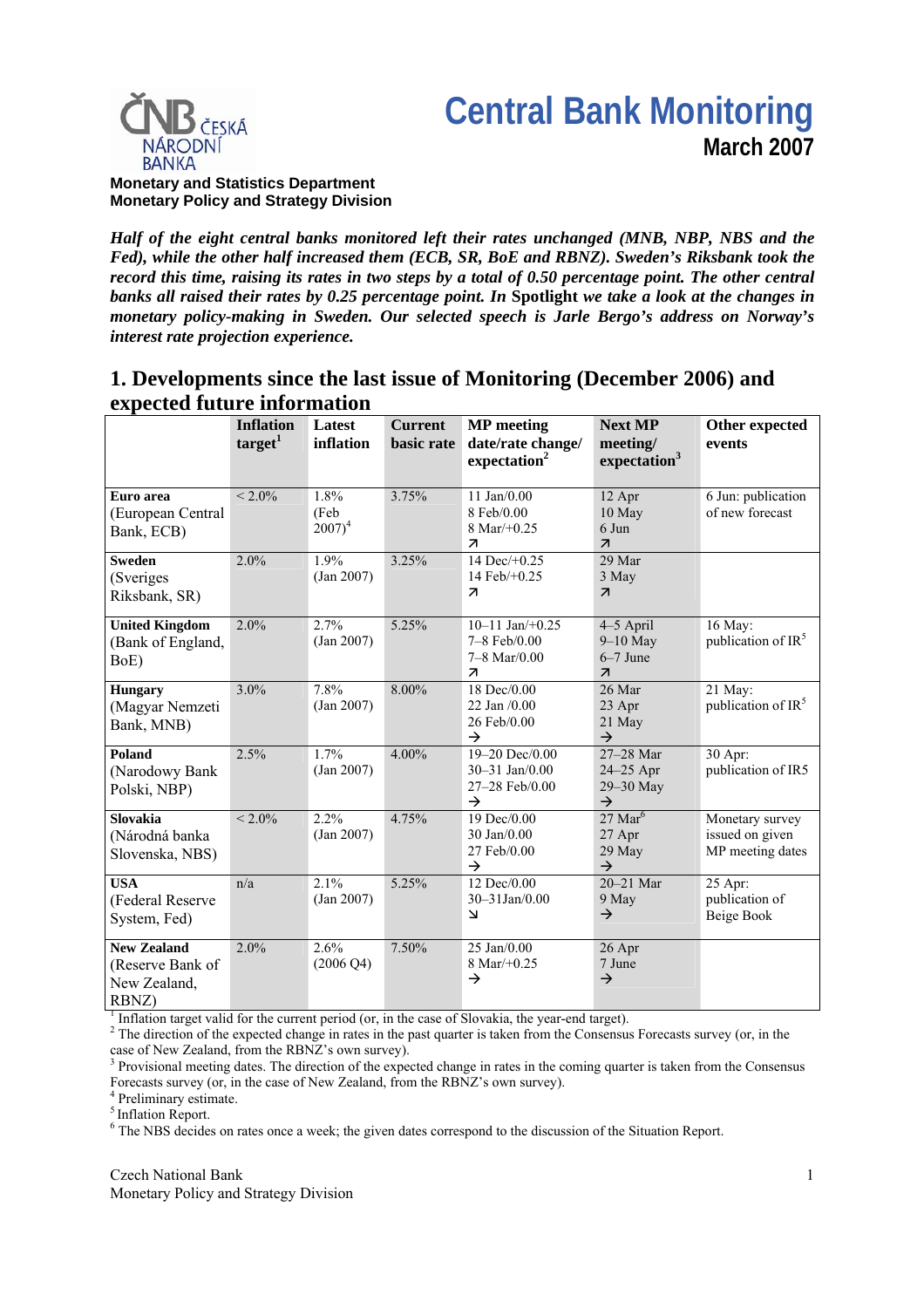



**Monetary and Statistics Department Monetary Policy and Strategy Division**

*Half of the eight central banks monitored left their rates unchanged (MNB, NBP, NBS and the Fed), while the other half increased them (ECB, SR, BoE and RBNZ). Sweden's Riksbank took the record this time, raising its rates in two steps by a total of 0.50 percentage point. The other central banks all raised their rates by 0.25 percentage point. In* **Spotlight** *we take a look at the changes in monetary policy-making in Sweden. Our selected speech is Jarle Bergo's address on Norway's interest rate projection experience.*

# **1. Developments since the last issue of Monitoring (December 2006) and expected future information**

| ехрессей титат с нибе настои                                    |                                         |                             |                              |                                                                             |                                                                   |                                                        |
|-----------------------------------------------------------------|-----------------------------------------|-----------------------------|------------------------------|-----------------------------------------------------------------------------|-------------------------------------------------------------------|--------------------------------------------------------|
|                                                                 | <b>Inflation</b><br>target <sup>1</sup> | Latest<br>inflation         | <b>Current</b><br>basic rate | <b>MP</b> meeting<br>date/rate change/<br>expectation <sup>2</sup>          | <b>Next MP</b><br>meeting/<br>expectation <sup>3</sup>            | Other expected<br>events                               |
| Euro area<br>(European Central<br>Bank, ECB)                    | $< 2.0\%$                               | 1.8%<br>(Feb<br>$2007)^4$   | 3.75%                        | $11$ Jan $/0.00$<br>8 Feb/0.00<br>8 Mar/ $+0.25$<br>$\overline{\mathbf{z}}$ | 12 Apr<br>10 May<br>6 Jun<br>$\overline{\mathbf{z}}$              | 6 Jun: publication<br>of new forecast                  |
| Sweden<br>(Sveriges)<br>Riksbank, SR)                           | 2.0%                                    | 1.9%<br>(Jan 2007)          | 3.25%                        | 14 Dec/+0.25<br>14 Feb/+0.25<br>$\overline{z}$                              | 29 Mar<br>3 May<br>$\overline{\mathcal{A}}$                       |                                                        |
| <b>United Kingdom</b><br>(Bank of England,<br>BoE)              | 2.0%                                    | 2.7%<br>(Jan 2007)          | 5.25%                        | 10-11 Jan/+0.25<br>7-8 Feb/0.00<br>7-8 Mar/0.00<br>$\overline{\mathcal{A}}$ | 4-5 April<br>$9-10$ May<br>$6-7$ June<br>$\overline{\mathcal{L}}$ | 16 May:<br>publication of IR <sup>5</sup>              |
| <b>Hungary</b><br>(Magyar Nemzeti<br>Bank, MNB)                 | 3.0%                                    | 7.8%<br>(Jan 2007)          | 8.00%                        | 18 Dec/0.00<br>22 Jan /0.00<br>26 Feb/0.00<br>$\rightarrow$                 | 26 Mar<br>23 Apr<br>21 May<br>$\rightarrow$                       | 21 May:<br>publication of IR <sup>5</sup>              |
| Poland<br>(Narodowy Bank<br>Polski, NBP)                        | 2.5%                                    | 1.7%<br>(Jan 2007)          | 4.00%                        | 19-20 Dec/0.00<br>30-31 Jan/0.00<br>27-28 Feb/0.00<br>$\rightarrow$         | 27-28 Mar<br>24-25 Apr<br>29-30 May<br>$\rightarrow$              | 30 Apr:<br>publication of IR5                          |
| Slovakia<br>(Národná banka<br>Slovenska, NBS)                   | $< 2.0\%$                               | 2.2%<br>(Jan 2007)          | 4.75%                        | 19 Dec/0.00<br>30 Jan/0.00<br>27 Feb/0.00<br>$\rightarrow$                  | $27 \text{ Mar}^6$<br>27 Apr<br>29 May<br>$\rightarrow$           | Monetary survey<br>issued on given<br>MP meeting dates |
| <b>USA</b><br>(Federal Reserve<br>System, Fed)                  | n/a                                     | 2.1%<br>(Jan 2007)          | 5.25%                        | 12 Dec/0.00<br>30-31Jan/0.00<br>$\overline{\mathbf{v}}$                     | 20-21 Mar<br>9 May<br>$\rightarrow$                               | 25 Apr:<br>publication of<br>Beige Book                |
| <b>New Zealand</b><br>(Reserve Bank of<br>New Zealand,<br>RBNZ) | 2.0%                                    | 2.6%<br>$(2006 \text{ Q4})$ | 7.50%                        | 25 Jan/0.00<br>8 Mar/+0.25<br>$\rightarrow$                                 | 26 Apr<br>7 June<br>$\rightarrow$                                 |                                                        |

 $<sup>1</sup>$  Inflation target valid for the current period (or, in the case of Slovakia, the year-end target).</sup>

 $<sup>2</sup>$  The direction of the expected change in rates in the past quarter is taken from the Consensus Forecasts survey (or, in the</sup> case of New Zealand, from the RBNZ's own survey).

<sup>3</sup> Provisional meeting dates. The direction of the expected change in rates in the coming quarter is taken from the Consensus Forecasts survey (or, in the case of New Zealand, from the RBNZ's own survey).

4 Preliminary estimate.

5 Inflation Report.

<sup>6</sup> The NBS decides on rates once a week; the given dates correspond to the discussion of the Situation Report.

Czech National Bank Monetary Policy and Strategy Division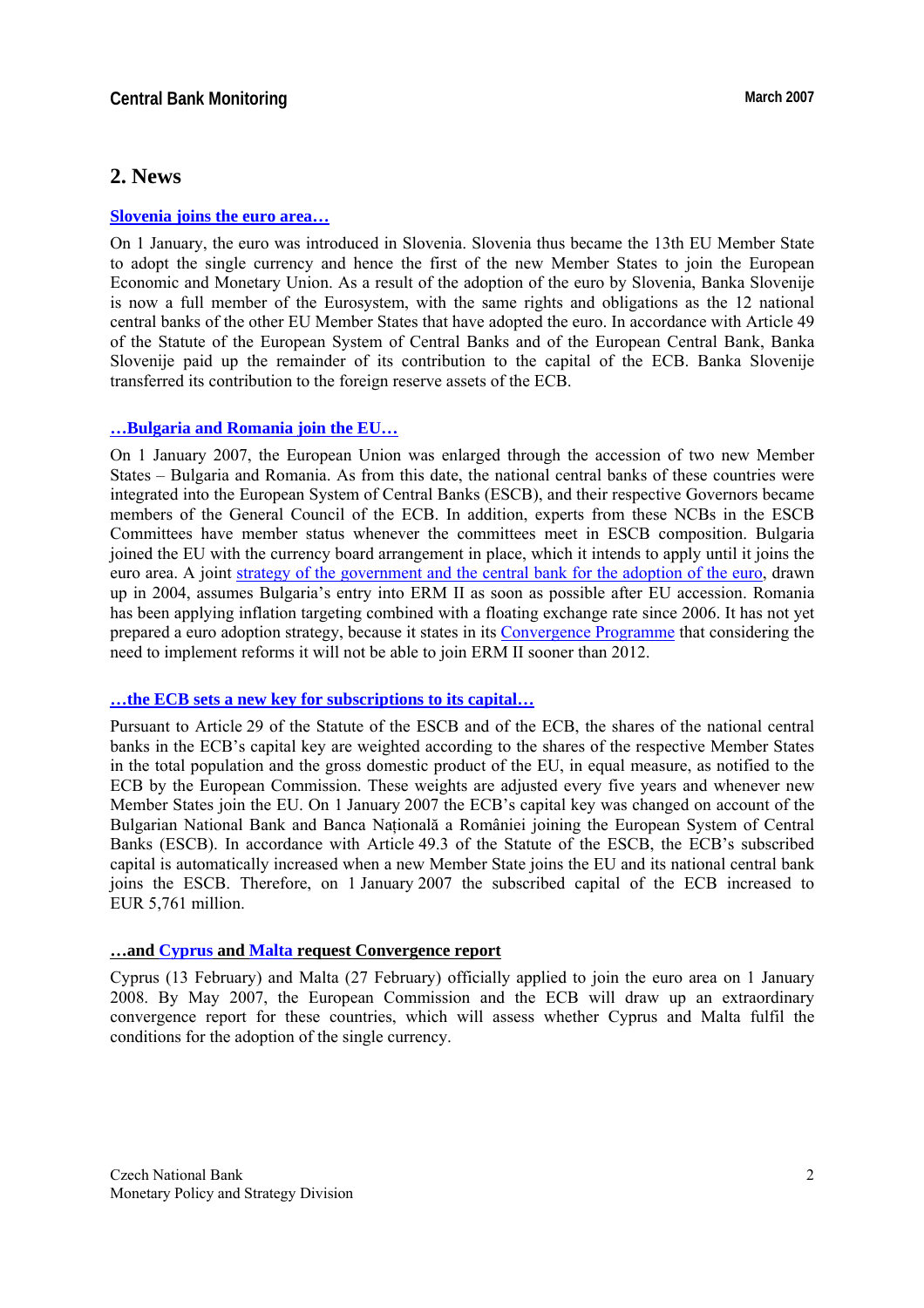# **2. News**

#### **[Slovenia joins the euro area…](http://www.ecb.int/press/pr/date/2007/html/pr070102.en.html)**

On 1 January, the euro was introduced in Slovenia. Slovenia thus became the 13th EU Member State to adopt the single currency and hence the first of the new Member States to join the European Economic and Monetary Union. As a result of the adoption of the euro by Slovenia, Banka Slovenije is now a full member of the Eurosystem, with the same rights and obligations as the 12 national central banks of the other EU Member States that have adopted the euro. In accordance with Article 49 of the Statute of the European System of Central Banks and of the European Central Bank, Banka Slovenije paid up the remainder of its contribution to the capital of the ECB. Banka Slovenije transferred its contribution to the foreign reserve assets of the ECB.

#### **…[Bulgaria and Romania join the EU…](http://www.ecb.int/press/pr/date/2007/html/pr070102_1.en.html)**

On 1 January 2007, the European Union was enlarged through the accession of two new Member States – Bulgaria and Romania. As from this date, the national central banks of these countries were integrated into the European System of Central Banks (ESCB), and their respective Governors became members of the General Council of the ECB. In addition, experts from these NCBs in the ESCB Committees have member status whenever the committees meet in ESCB composition. Bulgaria joined the EU with the currency board arrangement in place, which it intends to apply until it joins the euro area. A joint [strategy of the government and the central bank for the adoption of the euro](http://ec.europa.eu/economy_finance/about/activities/sgp/country/countryfiles/bg/bg_20062007_en.pdf), drawn up in 2004, assumes Bulgaria's entry into ERM II as soon as possible after EU accession. Romania has been applying inflation targeting combined with a floating exchange rate since 2006. It has not yet prepared a euro adoption strategy, because it states in its [Convergence Programme](http://ec.europa.eu/economy_finance/about/activities/sgp/country/countryfiles/ro/ro20062007_en.pdf) that considering the need to implement reforms it will not be able to join ERM II sooner than 2012.

#### **…[the ECB sets a new key for subscriptions to its capital](http://www.ecb.int/press/pr/date/2007/html/pr070102_2.en.html)…**

Pursuant to Article 29 of the Statute of the ESCB and of the ECB, the shares of the national central banks in the ECB's capital key are weighted according to the shares of the respective Member States in the total population and the gross domestic product of the EU, in equal measure, as notified to the ECB by the European Commission. These weights are adjusted every five years and whenever new Member States join the EU. On 1 January 2007 the ECB's capital key was changed on account of the Bulgarian National Bank and Banca Natională a României joining the European System of Central Banks (ESCB). In accordance with Article 49.3 of the Statute of the ESCB, the ECB's subscribed capital is automatically increased when a new Member State joins the EU and its national central bank joins the ESCB. Therefore, on 1 January 2007 the subscribed capital of the ECB increased to EUR 5,761 million.

#### **…and [Cyprus](http://news.bbc.co.uk/2/hi/business/6357551.stm) and [Malta](http://www.timesofmalta.com/core/article.php?id=253523) request Convergence report**

Cyprus (13 February) and Malta (27 February) officially applied to join the euro area on 1 January 2008. By May 2007, the European Commission and the ECB will draw up an extraordinary convergence report for these countries, which will assess whether Cyprus and Malta fulfil the conditions for the adoption of the single currency.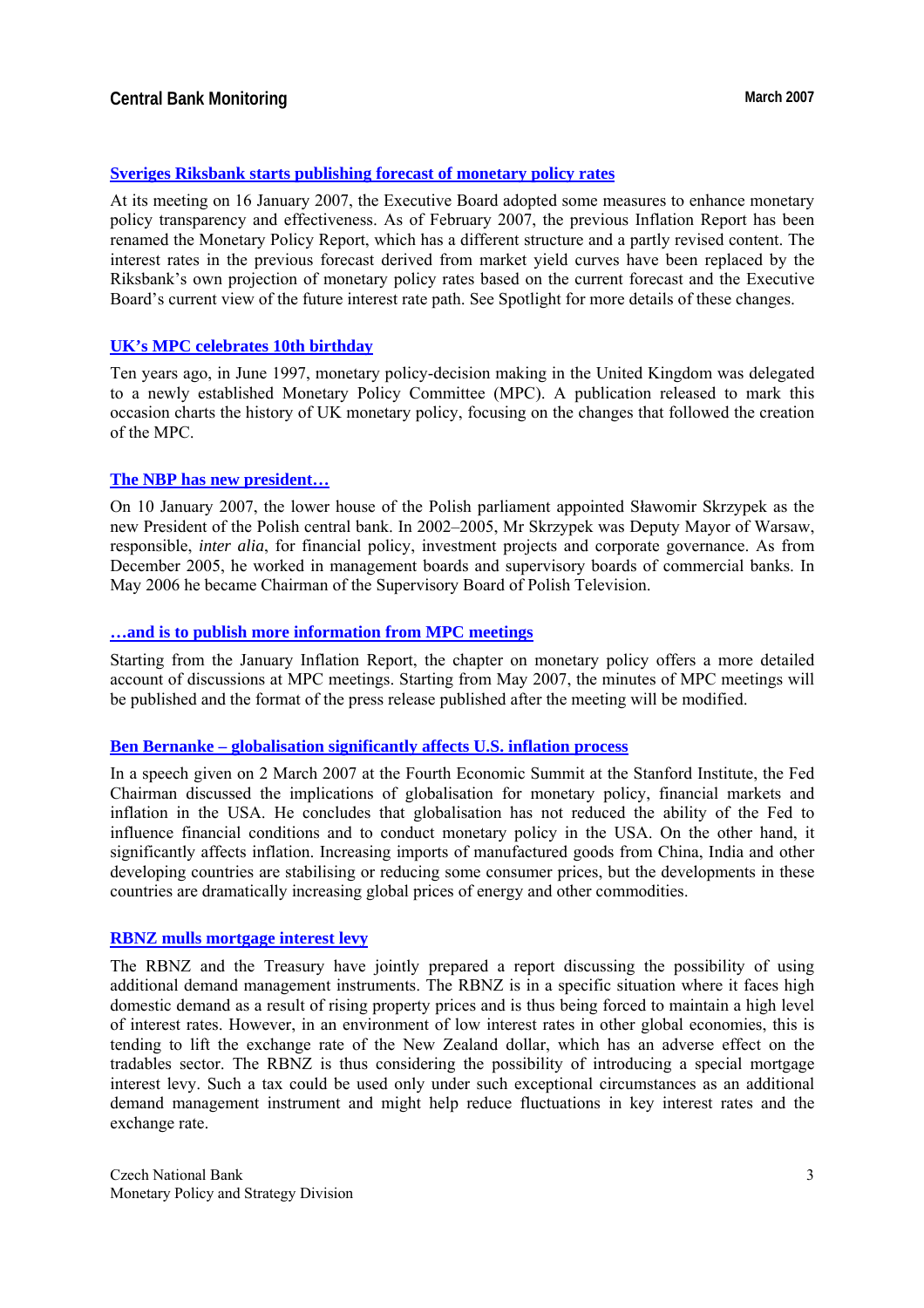## **[Sveriges Riksbank starts publishing forecast of monetary policy rates](http://www.riksbank.com/templates/Page.aspx?id=23688)**

At its meeting on 16 January 2007, the Executive Board adopted some measures to enhance monetary policy transparency and effectiveness. As of February 2007, the previous Inflation Report has been renamed the Monetary Policy Report, which has a different structure and a partly revised content. The interest rates in the previous forecast derived from market yield curves have been replaced by the Riksbank's own projection of monetary policy rates based on the current forecast and the Executive Board's current view of the future interest rate path. See Spotlight for more details of these changes.

## **[UK's MPC celebrates 10th birthday](http://www.bankofengland.co.uk/publications/other/monetary/treasurycommittee/mpc/tsc070219.pdf)**

Ten years ago, in June 1997, monetary policy-decision making in the United Kingdom was delegated to a newly established Monetary Policy Committee (MPC). A publication released to mark this occasion charts the history of UK monetary policy, focusing on the changes that followed the creation of the MPC.

## **[The NBP has new president…](http://www.nbp.pl/homen.aspx?f=en/onbp/organizacja/cv/prezes_zyciorys.html)**

On 10 January 2007, the lower house of the Polish parliament appointed Sławomir Skrzypek as the new President of the Polish central bank. In 2002–2005, Mr Skrzypek was Deputy Mayor of Warsaw, responsible, *inter alia*, for financial policy, investment projects and corporate governance. As from December 2005, he worked in management boards and supervisory boards of commercial banks. In May 2006 he became Chairman of the Supervisory Board of Polish Television.

## **[…and is to publish more information from MPC meetings](http://www.nbp.pl/en/aktualnosci/2007/mpc_310107_mpc.pdf)**

Starting from the January Inflation Report, the chapter on monetary policy offers a more detailed account of discussions at MPC meetings. Starting from May 2007, the minutes of MPC meetings will be published and the format of the press release published after the meeting will be modified.

## **[Ben Bernanke – globalisation significantly affects U.S. inflation process](http://www.federalreserve.gov/boarddocs/speeches/2007/20070302/)**

In a speech given on 2 March 2007 at the Fourth Economic Summit at the Stanford Institute, the Fed Chairman discussed the implications of globalisation for monetary policy, financial markets and inflation in the USA. He concludes that globalisation has not reduced the ability of the Fed to influence financial conditions and to conduct monetary policy in the USA. On the other hand, it significantly affects inflation. Increasing imports of manufactured goods from China, India and other developing countries are stabilising or reducing some consumer prices, but the developments in these countries are dramatically increasing global prices of energy and other commodities.

## **[RBNZ mulls mortgage interest levy](http://www.rbnz.govt.nz/monpol/about/2950448.html)**

The RBNZ and the Treasury have jointly prepared a report discussing the possibility of using additional demand management instruments. The RBNZ is in a specific situation where it faces high domestic demand as a result of rising property prices and is thus being forced to maintain a high level of interest rates. However, in an environment of low interest rates in other global economies, this is tending to lift the exchange rate of the New Zealand dollar, which has an adverse effect on the tradables sector. The RBNZ is thus considering the possibility of introducing a special mortgage interest levy. Such a tax could be used only under such exceptional circumstances as an additional demand management instrument and might help reduce fluctuations in key interest rates and the exchange rate.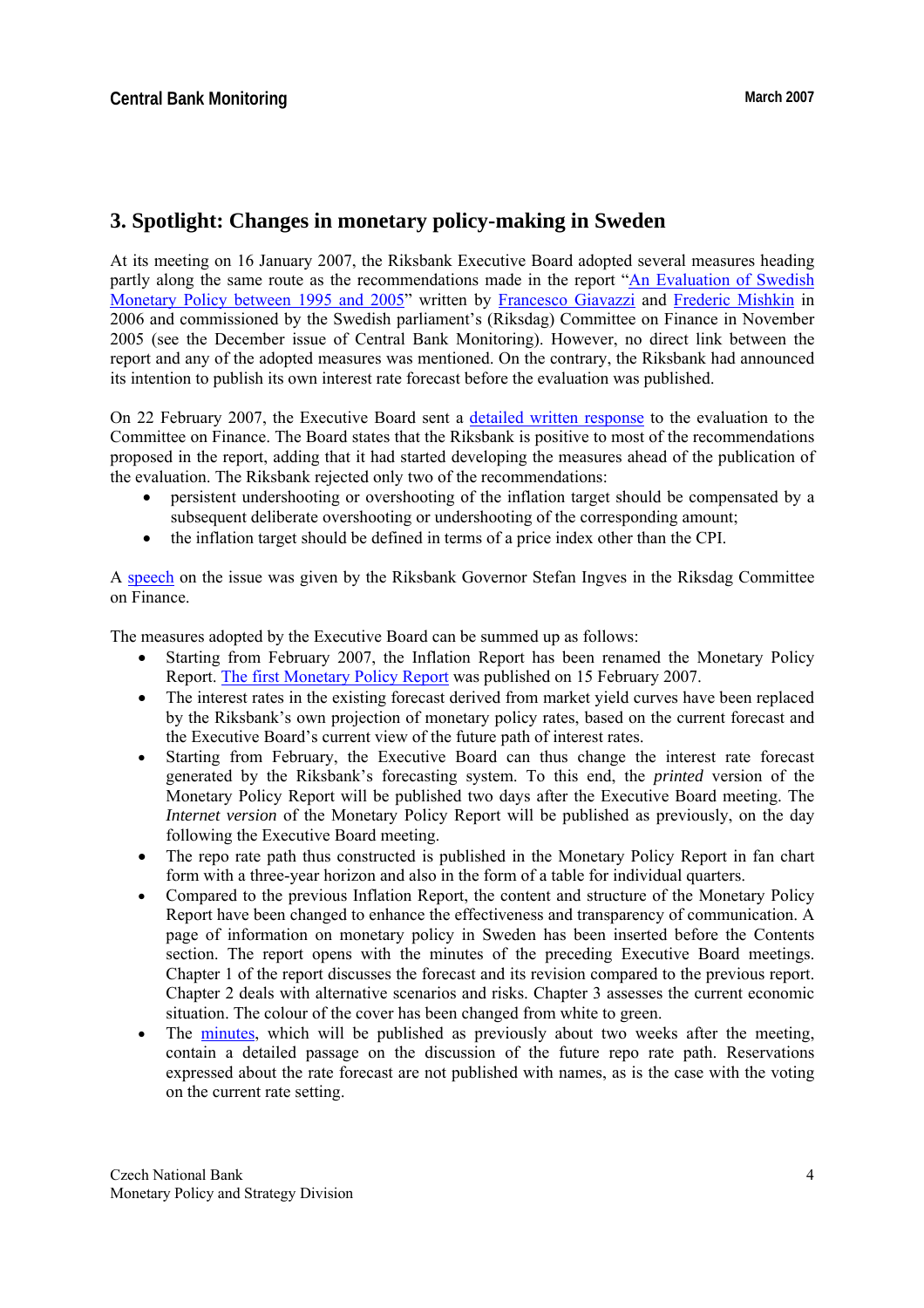# **3. Spotlight: Changes in monetary policy-making in Sweden**

At its meeting on 16 January 2007, the Riksbank Executive Board adopted several measures heading partly along the same route as the recommendations made in the report ["An Evaluation of Swedish](http://www.riksdagen.se/upload/Dokument/utskotteunamnd/200607/FiU/200607_RFR1_eng.pdf)  [Monetary Policy between 1995 and 2005"](http://www.riksdagen.se/upload/Dokument/utskotteunamnd/200607/FiU/200607_RFR1_eng.pdf) written by [Francesco Giavazzi](http://www.igier.uni-bocconi.it/whos.php?vedi=403&tbn=albero&id_doc=177) and [Frederic Mishkin](http://www.federalreserve.gov/bios/mishkin.htm) in 2006 and commissioned by the Swedish parliament's (Riksdag) Committee on Finance in November 2005 (see the December issue of Central Bank Monitoring). However, no direct link between the report and any of the adopted measures was mentioned. On the contrary, the Riksbank had announced its intention to publish its own interest rate forecast before the evaluation was published.

On 22 February 2007, the Executive Board sent a [detailed written response](http://www.riksbank.com/pagefolders/29349/070222_eng.pdf) to the evaluation to the Committee on Finance. The Board states that the Riksbank is positive to most of the recommendations proposed in the report, adding that it had started developing the measures ahead of the publication of the evaluation. The Riksbank rejected only two of the recommendations:

- persistent undershooting or overshooting of the inflation target should be compensated by a subsequent deliberate overshooting or undershooting of the corresponding amount;
- the inflation target should be defined in terms of a price index other than the CPI.

A [speech](http://www.riksbank.com/templates/Page.aspx?id=23966) on the issue was given by the Riksbank Governor Stefan Ingves in the Riksdag Committee on Finance.

The measures adopted by the Executive Board can be summed up as follows:

- Starting from February 2007, the Inflation Report has been renamed the Monetary Policy Report. [The first Monetary Policy Report](http://www.riksbank.com/upload/Dokument_riksbank/Kat_publicerat/Rapporter/2007/PPR_07_01_eng.pdf) was published on 15 February 2007.
- The interest rates in the existing forecast derived from market yield curves have been replaced by the Riksbank's own projection of monetary policy rates, based on the current forecast and the Executive Board's current view of the future path of interest rates.
- Starting from February, the Executive Board can thus change the interest rate forecast generated by the Riksbank's forecasting system. To this end, the *printed* version of the Monetary Policy Report will be published two days after the Executive Board meeting. The *Internet version* of the Monetary Policy Report will be published as previously, on the day following the Executive Board meeting.
- The repo rate path thus constructed is published in the Monetary Policy Report in fan chart form with a three-year horizon and also in the form of a table for individual quarters.
- Compared to the previous Inflation Report, the content and structure of the Monetary Policy Report have been changed to enhance the effectiveness and transparency of communication. A page of information on monetary policy in Sweden has been inserted before the Contents section. The report opens with the minutes of the preceding Executive Board meetings. Chapter 1 of the report discusses the forecast and its revision compared to the previous report. Chapter 2 deals with alternative scenarios and risks. Chapter 3 assesses the current economic situation. The colour of the cover has been changed from white to green.
- The [minutes](http://www.riksbank.com/templates/Page.aspx?id=24057), which will be published as previously about two weeks after the meeting, contain a detailed passage on the discussion of the future repo rate path. Reservations expressed about the rate forecast are not published with names, as is the case with the voting on the current rate setting.